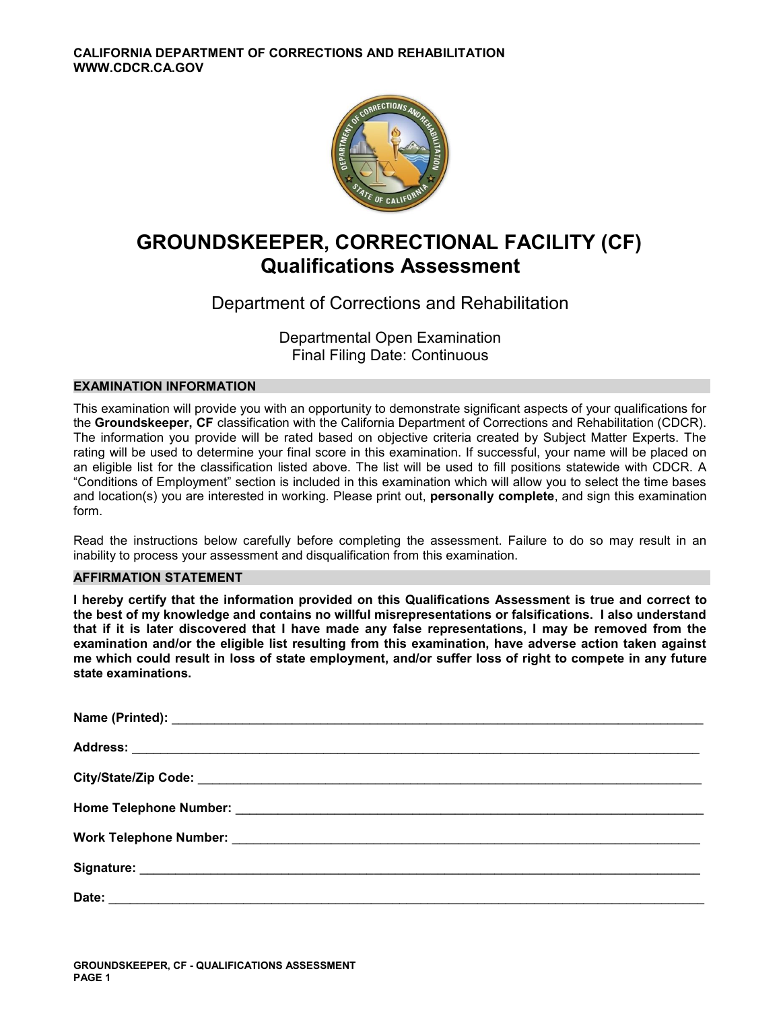

# **GROUNDSKEEPER, CORRECTIONAL FACILITY (CF) Qualifications Assessment**

# Department of Corrections and Rehabilitation

Departmental Open Examination Final Filing Date: Continuous

# **EXAMINATION INFORMATION**

This examination will provide you with an opportunity to demonstrate significant aspects of your qualifications for the **Groundskeeper, CF** classification with the California Department of Corrections and Rehabilitation (CDCR). The information you provide will be rated based on objective criteria created by Subject Matter Experts. The rating will be used to determine your final score in this examination. If successful, your name will be placed on an eligible list for the classification listed above. The list will be used to fill positions statewide with CDCR. A "Conditions of Employment" section is included in this examination which will allow you to select the time bases and location(s) you are interested in working. Please print out, **personally complete**, and sign this examination form.

Read the instructions below carefully before completing the assessment. Failure to do so may result in an inability to process your assessment and disqualification from this examination.

# **AFFIRMATION STATEMENT**

**I hereby certify that the information provided on this Qualifications Assessment is true and correct to the best of my knowledge and contains no willful misrepresentations or falsifications. I also understand that if it is later discovered that I have made any false representations, I may be removed from the examination and/or the eligible list resulting from this examination, have adverse action taken against me which could result in loss of state employment, and/or suffer loss of right to compete in any future state examinations.**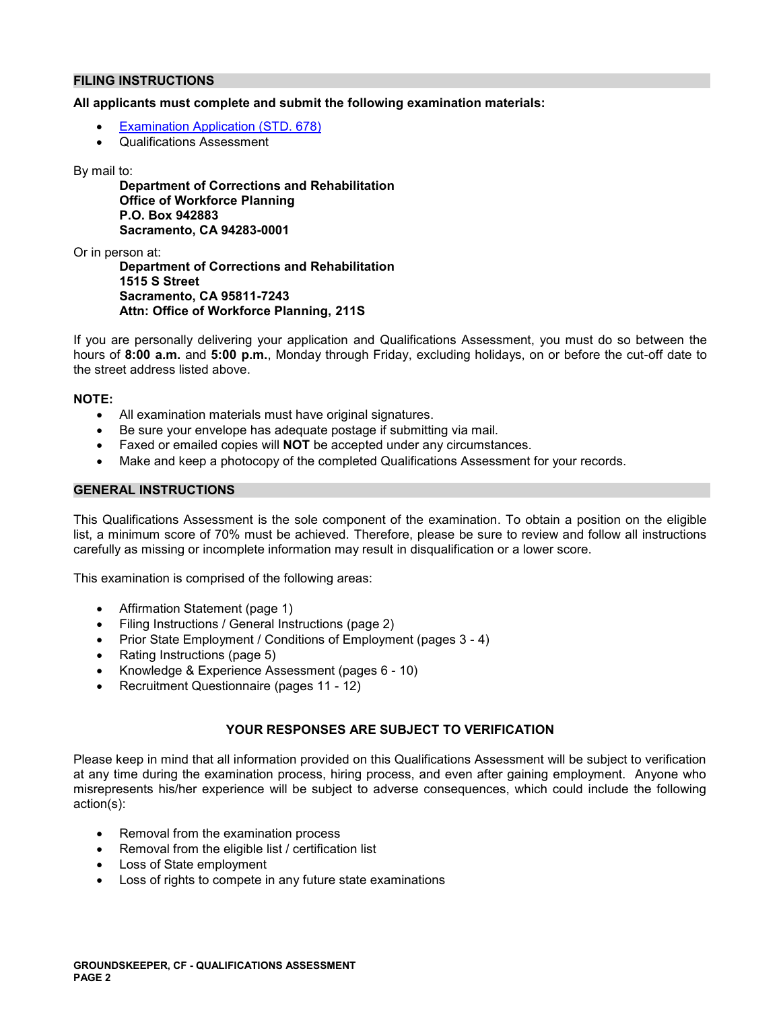# **FILING INSTRUCTIONS**

# **All applicants must complete and submit the following examination materials:**

- [Examination Application \(STD. 678\)](https://jobs.ca.gov/pdf/STD678.pdf)
- Qualifications Assessment

# By mail to:

**Department of Corrections and Rehabilitation Office of Workforce Planning P.O. Box 942883 Sacramento, CA 94283-0001** 

Or in person at:

**Department of Corrections and Rehabilitation 1515 S Street Sacramento, CA 95811-7243 Attn: Office of Workforce Planning, 211S** 

If you are personally delivering your application and Qualifications Assessment, you must do so between the hours of **8:00 a.m.** and **5:00 p.m.**, Monday through Friday, excluding holidays, on or before the cut-off date to the street address listed above.

# **NOTE:**

- All examination materials must have original signatures.
- Be sure your envelope has adequate postage if submitting via mail.
- Faxed or emailed copies will **NOT** be accepted under any circumstances.
- Make and keep a photocopy of the completed Qualifications Assessment for your records.

# **GENERAL INSTRUCTIONS**

This Qualifications Assessment is the sole component of the examination. To obtain a position on the eligible list, a minimum score of 70% must be achieved. Therefore, please be sure to review and follow all instructions carefully as missing or incomplete information may result in disqualification or a lower score.

This examination is comprised of the following areas:

- Affirmation Statement (page 1)
- Filing Instructions / General Instructions (page 2)
- Prior State Employment / Conditions of Employment (pages 3 4)
- Rating Instructions (page 5)
- Knowledge & Experience Assessment (pages 6 10)
- Recruitment Questionnaire (pages 11 12)

# **YOUR RESPONSES ARE SUBJECT TO VERIFICATION**

Please keep in mind that all information provided on this Qualifications Assessment will be subject to verification at any time during the examination process, hiring process, and even after gaining employment. Anyone who misrepresents his/her experience will be subject to adverse consequences, which could include the following action(s):

- Removal from the examination process
- Removal from the eligible list / certification list
- Loss of State employment
- Loss of rights to compete in any future state examinations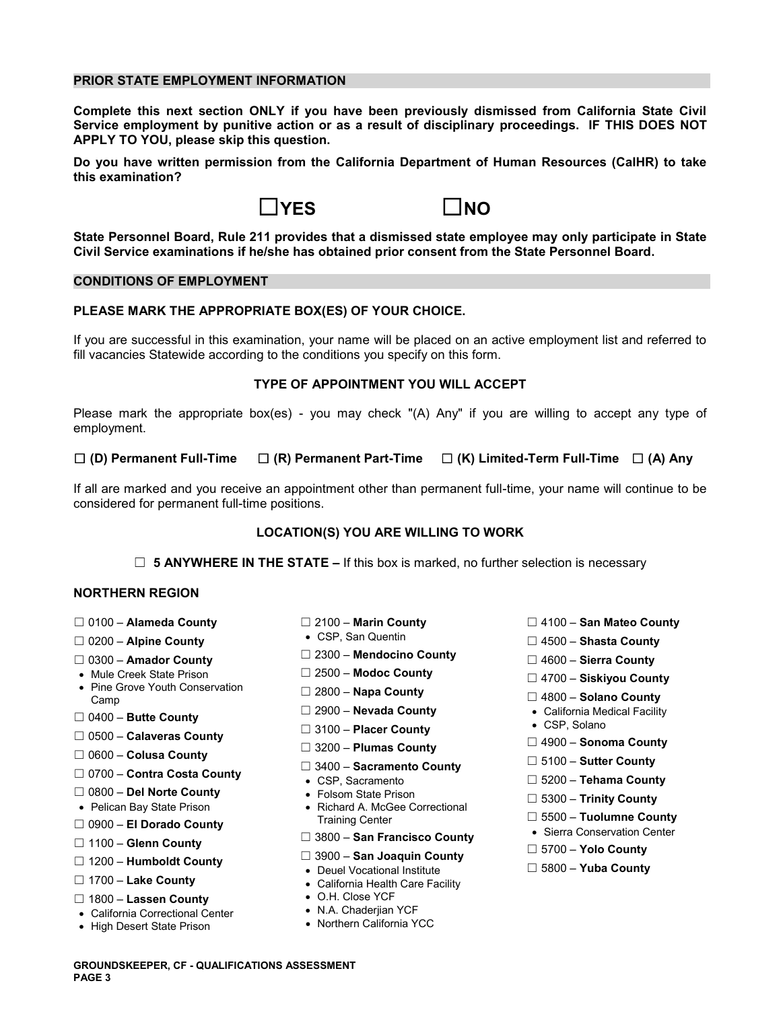# **PRIOR STATE EMPLOYMENT INFORMATION**

**Complete this next section ONLY if you have been previously dismissed from California State Civil Service employment by punitive action or as a result of disciplinary proceedings. IF THIS DOES NOT APPLY TO YOU, please skip this question.** 

**Do you have written permission from the California Department of Human Resources (CalHR) to take this examination?** 



**State Personnel Board, Rule 211 provides that a dismissed state employee may only participate in State Civil Service examinations if he/she has obtained prior consent from the State Personnel Board.** 

# **CONDITIONS OF EMPLOYMENT**

# **PLEASE MARK THE APPROPRIATE BOX(ES) OF YOUR CHOICE.**

If you are successful in this examination, your name will be placed on an active employment list and referred to fill vacancies Statewide according to the conditions you specify on this form.

# **TYPE OF APPOINTMENT YOU WILL ACCEPT**

Please mark the appropriate box(es) - you may check "(A) Any" if you are willing to accept any type of employment.

# ☐ **(D) Permanent Full-Time** ☐ **(R) Permanent Part-Time** ☐ **(K) Limited-Term Full-Time** ☐ **(A) Any**

If all are marked and you receive an appointment other than permanent full-time, your name will continue to be considered for permanent full-time positions.

# **LOCATION(S) YOU ARE WILLING TO WORK**

☐ **5 ANYWHERE IN THE STATE –** If this box is marked, no further selection is necessary

# **NORTHERN REGION**

- 
- 
- ☐ 2300 **Mendocino County** 0300 **Amador County** ☐ ☐ 4600 **Sierra County**
- 
- Mule Creek State Prison ☐ 2500 **Modoc County** ☐ 4700 **Siskiyou County**  Pine Grove Youth Conservation ☐ 2800 **Napa County** Camp ☐ 4800 **Solano County**  Camp<br>
□ 2500 **Helper County Discrete County Discrete County**<br>
□ 2900 – **Nevada County → California Medical Facility**<br>
● CSP Solano → CSP Solano
- 
- ☐ 0500 **Calaveras County**
- ☐ 0600 **Colusa County**
- ☐ 0700 **Contra Costa County**  CSP, Sacramento ☐ 5200 **Tehama County**
- 
- 
- ☐ 5500 **Tuolumne County** ☐ 0900 **El Dorado County** Training Center
- 
- 
- 
- ☐ 1800 **Lassen County**  O.H. Close YCF
- California Correctional Center N.A. Chaderjian YCF
- High Desert State Prison
- 
- 
- 
- 
- 
- 
- □ 3100 **Placer County**
- 
- ☐ 5100 **Sutter County** 3400 **Sacramento County** ☐
- 
- 
- ☐ 0800 **Del Norte County**  Folsom State Prison ☐ 5300 **Trinity County**  Pelican Bay State Prison Richard A. McGee Correctional

# ☐ ☐ 3800 – **San Francisco County** 1100 – **Glenn County** ☐ 5700 – **Yolo County**

- 
- ☐ ☐ 3900 **San Joaquin County** 1200 **Humboldt County**  Deuel Vocational Institute ☐ 5800 **Yuba County** 
	- California Health Care Facility
	-
	-

- ☐ 0100 **Alameda County** ☐ 2100 **Marin County** ☐ 4100 **San Mateo County**
- ☐ CSP, San Quentin 0200 **Alpine County**  ☐ 4500 **Shasta County** 
	-
	-
	-
	-
	-
	- ☐ 3200 **Plumas County** ☐ 4900 **Sonoma County** 
		-
		-
		-
		-
		- Sierra Conservation Center
		-
		-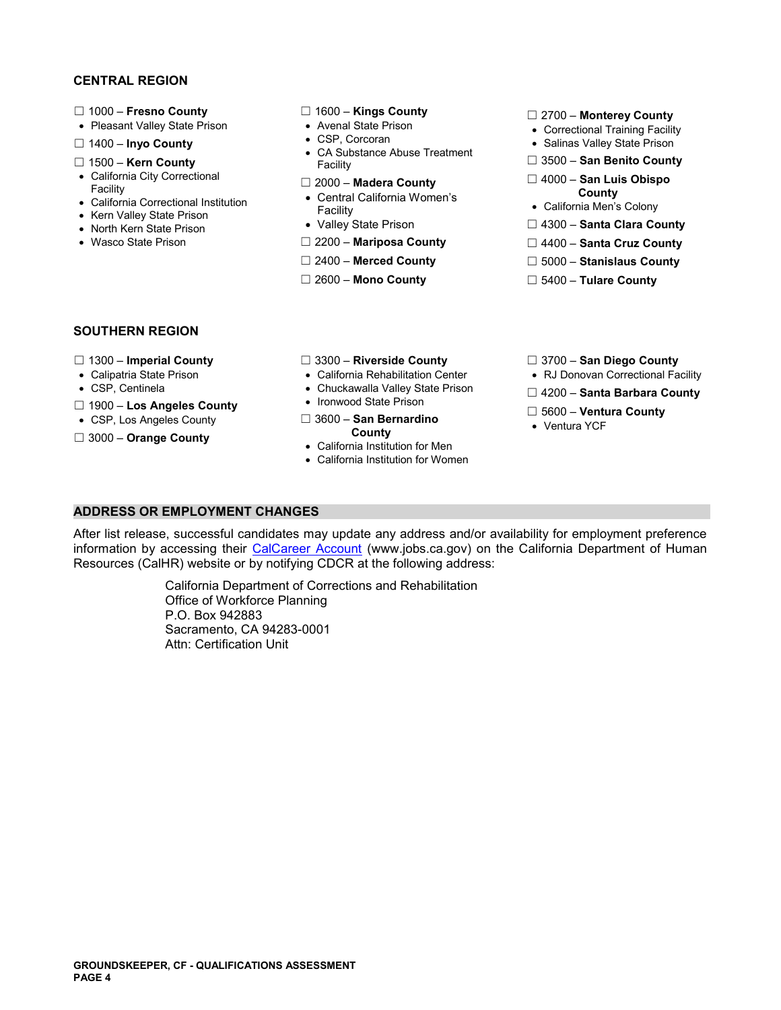# **CENTRAL REGION**

- 
- 
- 
- 
- 
- 
- 
- 
- 
- 
- 
- 
- □ 1400 **Inyo County** <br>CA Substance Abuse Treatment **and Substance Abuse Treatment** <br>Facility **Cannel State Prison Count Count Count** ☐ 1500 – **Kern County** Facility ☐ 3500 – **San Benito County** 
	-
- California City Correctional ☐ 2000 **Madera County** ☐ 4000 **San Luis Obispo** Facility Central California Women's **County** California Correctional Institution Facility California Men's Colony Kern Valley State Prison
	-
- Wasco State Prison **□ 2200 Mariposa County Diameter Diameter State Cruz County** 
	-
	-
- 
- ☐ 1000 **Fresno County** ☐ 1600 **Kings County** ☐ 2700 **Monterey County**  Pleasant Valley State Prison Avenal State Prison Correctional Training Facility
	-
	-
	-
	-
- Kern Valley State Prison **Facility**<br>• North Kern State Prison Valley State Prison □ 4300 **Santa Clara County** Valley State Prison
	-
	- ☐ 2400 **Merced County** ☐ 5000 **Stanislaus County**
	- ☐ 2600 **Mono County** ☐ 5400 **Tulare County**

# **SOUTHERN REGION**

- 
- 
- 
- 
- 
- 
- ☐ 1300 **Imperial County** ☐ 3300 **Riverside County** ☐ 3700 **San Diego County** 
	-
	-
	-
- ☐ **Los Angeles County**  Ironwood State Prison 1900 ☐ 5600 **Ventura County**  CSP, Los Angeles County ☐ 3600 **San Bernardino**  Ventura YCF
	- California Institution for Men
	- California Institution for Women
- 
- Calipatria State Prison California Rehabilitation Center RJ Donovan Correctional Facility
- CSP, Centinela **Chuckawalla Valley State Prison** □ 4200 **Santa Barbara County 1000 Lice Angeles County** Ironwood State Prison
	-
	-

# **ADDRESS OR EMPLOYMENT CHANGES**

After list release, successful candidates may update any address and/or availability for employment preference information by accessing their [CalCareer Account](https://www.jobs.ca.gov/) (www.jobs.ca.gov) on the California Department of Human Resources (CalHR) website or by notifying CDCR at the following address:

> California Department of Corrections and Rehabilitation Office of Workforce Planning P.O. Box 942883 Sacramento, CA 94283-0001 Attn: Certification Unit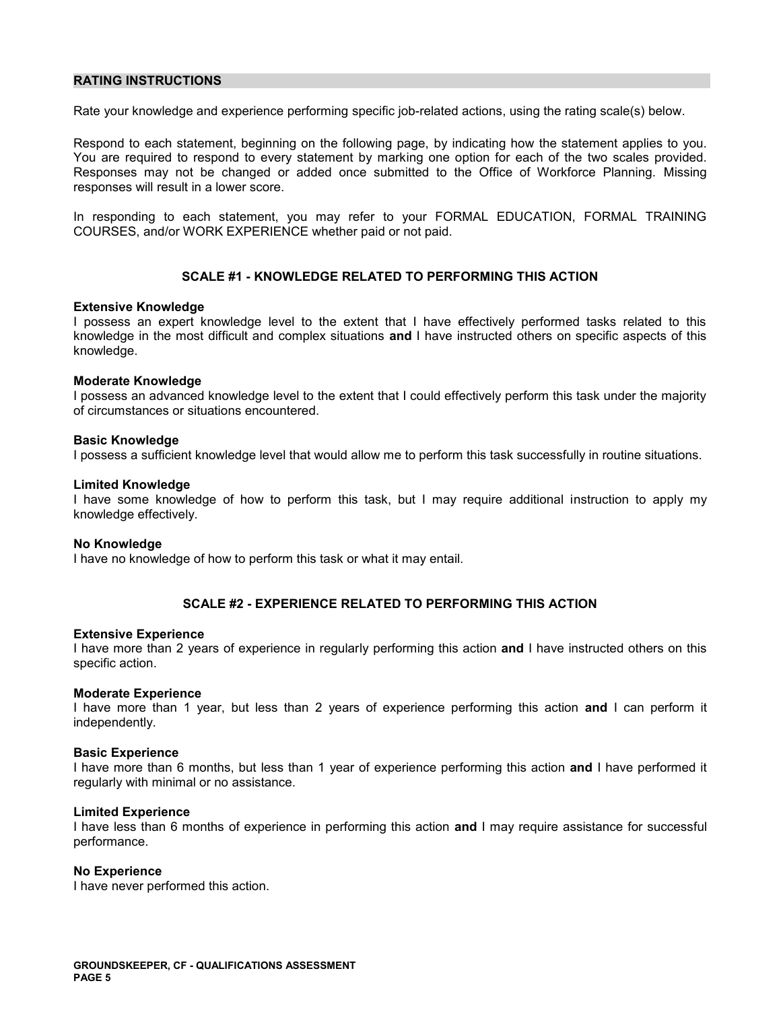# **RATING INSTRUCTIONS**

Rate your knowledge and experience performing specific job-related actions, using the rating scale(s) below.

Respond to each statement, beginning on the following page, by indicating how the statement applies to you. You are required to respond to every statement by marking one option for each of the two scales provided. Responses may not be changed or added once submitted to the Office of Workforce Planning. Missing responses will result in a lower score.

In responding to each statement, you may refer to your FORMAL EDUCATION, FORMAL TRAINING COURSES, and/or WORK EXPERIENCE whether paid or not paid.

# **SCALE #1 - KNOWLEDGE RELATED TO PERFORMING THIS ACTION**

# **Extensive Knowledge**

I possess an expert knowledge level to the extent that I have effectively performed tasks related to this knowledge in the most difficult and complex situations **and** I have instructed others on specific aspects of this knowledge.

# **Moderate Knowledge**

I possess an advanced knowledge level to the extent that I could effectively perform this task under the majority of circumstances or situations encountered.

# **Basic Knowledge**

I possess a sufficient knowledge level that would allow me to perform this task successfully in routine situations.

# **Limited Knowledge**

I have some knowledge of how to perform this task, but I may require additional instruction to apply my knowledge effectively.

## **No Knowledge**

I have no knowledge of how to perform this task or what it may entail.

# **SCALE #2 - EXPERIENCE RELATED TO PERFORMING THIS ACTION**

## **Extensive Experience**

I have more than 2 years of experience in regularly performing this action **and** I have instructed others on this specific action.

# **Moderate Experience**

I have more than 1 year, but less than 2 years of experience performing this action **and** I can perform it independently.

# **Basic Experience**

I have more than 6 months, but less than 1 year of experience performing this action **and** I have performed it regularly with minimal or no assistance.

# **Limited Experience**

I have less than 6 months of experience in performing this action **and** I may require assistance for successful performance.

# **No Experience**

I have never performed this action.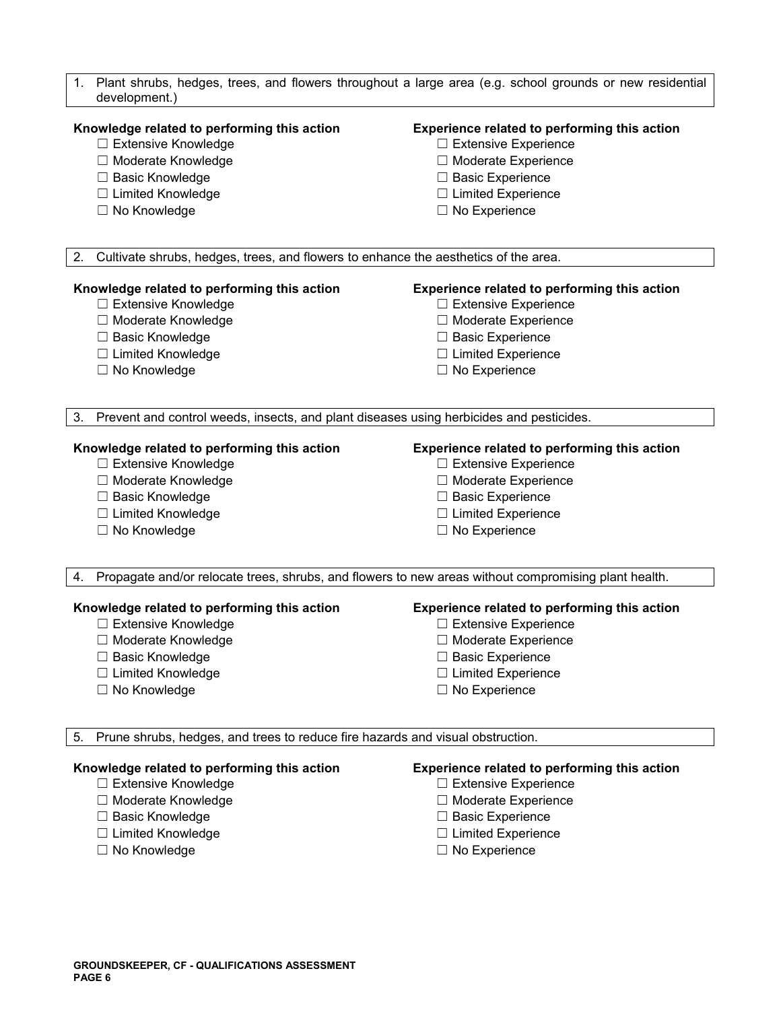| Plant shrubs, hedges, trees, and flowers throughout a large area (e.g. school grounds or new residential<br>1.<br>development.) |                                                                                                      |  |  |  |  |
|---------------------------------------------------------------------------------------------------------------------------------|------------------------------------------------------------------------------------------------------|--|--|--|--|
| Knowledge related to performing this action                                                                                     | Experience related to performing this action                                                         |  |  |  |  |
| □ Extensive Knowledge                                                                                                           | □ Extensive Experience                                                                               |  |  |  |  |
| □ Moderate Knowledge                                                                                                            | □ Moderate Experience                                                                                |  |  |  |  |
| □ Basic Knowledge                                                                                                               | □ Basic Experience                                                                                   |  |  |  |  |
| □ Limited Knowledge                                                                                                             | $\Box$ Limited Experience                                                                            |  |  |  |  |
| □ No Knowledge                                                                                                                  | $\Box$ No Experience                                                                                 |  |  |  |  |
|                                                                                                                                 |                                                                                                      |  |  |  |  |
| Cultivate shrubs, hedges, trees, and flowers to enhance the aesthetics of the area.<br>2.                                       |                                                                                                      |  |  |  |  |
| Knowledge related to performing this action                                                                                     | Experience related to performing this action                                                         |  |  |  |  |
| □ Extensive Knowledge                                                                                                           | $\Box$ Extensive Experience                                                                          |  |  |  |  |
| □ Moderate Knowledge                                                                                                            | □ Moderate Experience                                                                                |  |  |  |  |
| □ Basic Knowledge                                                                                                               | □ Basic Experience                                                                                   |  |  |  |  |
| □ Limited Knowledge                                                                                                             | $\Box$ Limited Experience                                                                            |  |  |  |  |
| □ No Knowledge                                                                                                                  | $\Box$ No Experience                                                                                 |  |  |  |  |
|                                                                                                                                 |                                                                                                      |  |  |  |  |
| Prevent and control weeds, insects, and plant diseases using herbicides and pesticides.<br>3.                                   |                                                                                                      |  |  |  |  |
| Knowledge related to performing this action                                                                                     | Experience related to performing this action                                                         |  |  |  |  |
| □ Extensive Knowledge                                                                                                           | $\Box$ Extensive Experience                                                                          |  |  |  |  |
| □ Moderate Knowledge                                                                                                            | □ Moderate Experience                                                                                |  |  |  |  |
| □ Basic Knowledge                                                                                                               | $\Box$ Basic Experience                                                                              |  |  |  |  |
| □ Limited Knowledge                                                                                                             | $\Box$ Limited Experience                                                                            |  |  |  |  |
| □ No Knowledge                                                                                                                  | $\Box$ No Experience                                                                                 |  |  |  |  |
|                                                                                                                                 |                                                                                                      |  |  |  |  |
| 4.                                                                                                                              | Propagate and/or relocate trees, shrubs, and flowers to new areas without compromising plant health. |  |  |  |  |
| Knowledge related to performing this action<br>Experience related to performing this action                                     |                                                                                                      |  |  |  |  |
| □ Extensive Knowledge                                                                                                           | □ Extensive Experience                                                                               |  |  |  |  |
| □ Moderate Knowledge                                                                                                            | □ Moderate Experience                                                                                |  |  |  |  |
| $\Box$ Basic Knowledge                                                                                                          | $\Box$ Basic Experience                                                                              |  |  |  |  |
| □ Limited Knowledge                                                                                                             | $\Box$ Limited Experience                                                                            |  |  |  |  |
| □ No Knowledge                                                                                                                  | $\Box$ No Experience                                                                                 |  |  |  |  |
|                                                                                                                                 |                                                                                                      |  |  |  |  |
| Prune shrubs, hedges, and trees to reduce fire hazards and visual obstruction.<br>5.                                            |                                                                                                      |  |  |  |  |
| Knowledge related to performing this action                                                                                     | Experience related to performing this action                                                         |  |  |  |  |
| □ Extensive Knowledge                                                                                                           | $\Box$ Extensive Experience                                                                          |  |  |  |  |
| □ Moderate Knowledge                                                                                                            | □ Moderate Experience                                                                                |  |  |  |  |
| □ Basic Knowledge                                                                                                               | □ Basic Experience                                                                                   |  |  |  |  |
| □ Limited Knowledge                                                                                                             | $\Box$ Limited Experience                                                                            |  |  |  |  |
| □ No Knowledge                                                                                                                  | □ No Experience                                                                                      |  |  |  |  |
|                                                                                                                                 |                                                                                                      |  |  |  |  |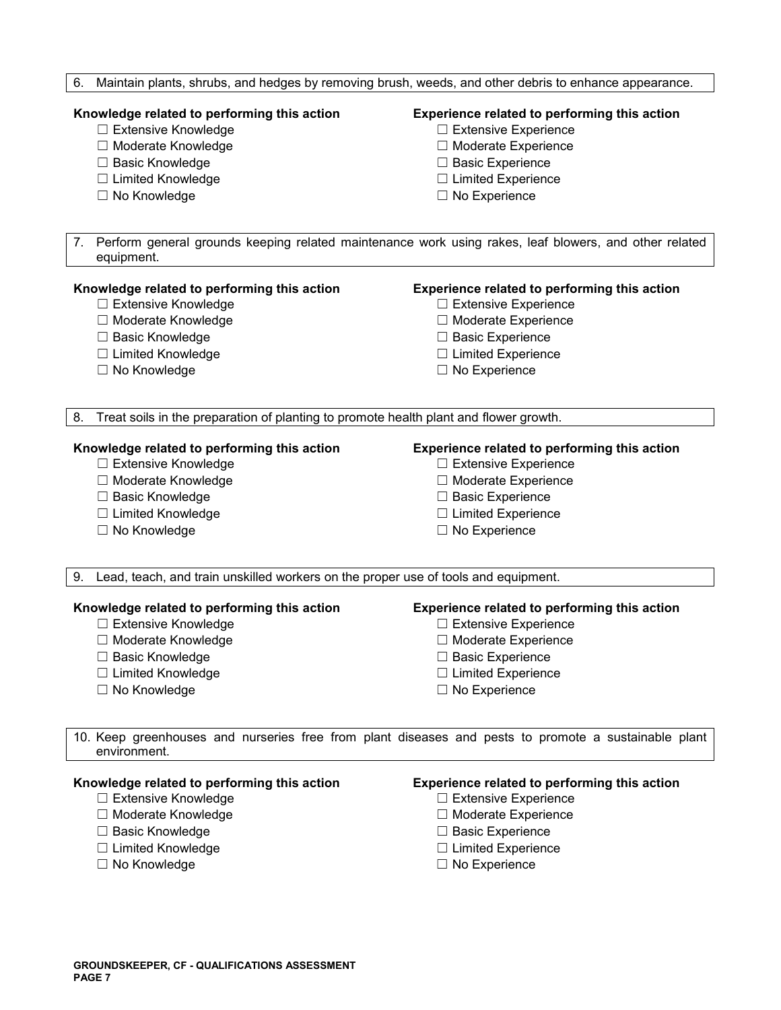|  |  |  |  | 6. Maintain plants, shrubs, and hedges by removing brush, weeds, and other debris to enhance appearance. |
|--|--|--|--|----------------------------------------------------------------------------------------------------------|
|  |  |  |  |                                                                                                          |

- 
- 
- 
- ☐ Limited Knowledge ☐ Limited Experience
- ☐ No Knowledge ☐ No Experience

# **Knowledge related to performing this action Experience related to performing this action**

- ☐ Extensive Knowledge ☐ Extensive Experience
- ☐ Moderate Knowledge ☐ Moderate Experience
- ☐ Basic Knowledge ☐ Basic Experience
	-
	-

7. Perform general grounds keeping related maintenance work using rakes, leaf blowers, and other related equipment.

# **Knowledge related to performing this action Experience related to performing this action**

- ☐ Extensive Knowledge ☐ Extensive Experience
- ☐ Moderate Knowledge ☐ Moderate Experience
- ☐ Basic Knowledge ☐ Basic Experience
- ☐ Limited Knowledge ☐ Limited Experience
- 

- 
- 
- 
- 
- ☐ No Knowledge ☐ No Experience

8. Treat soils in the preparation of planting to promote health plant and flower growth.

- ☐ Extensive Knowledge ☐ Extensive Experience
- 
- 
- ☐ Limited Knowledge ☐ Limited Experience
- 

# **Knowledge related to performing this action Experience related to performing this action**

- 
- ☐ Moderate Knowledge ☐ Moderate Experience
- ☐ Basic Knowledge ☐ Basic Experience
	-
- ☐ No Knowledge ☐ No Experience

9. Lead, teach, and train unskilled workers on the proper use of tools and equipment.

# **Knowledge related to performing this action Experience related to performing this action**

- ☐ Extensive Knowledge ☐ Extensive Experience
- ☐ Moderate Knowledge ☐ Moderate Experience
- ☐ Basic Knowledge ☐ Basic Experience
- ☐ Limited Knowledge ☐ Limited Experience
- ☐ No Knowledge ☐ No Experience

- 
- 
- 
- 
- 

10. Keep greenhouses and nurseries free from plant diseases and pests to promote a sustainable plant environment.

- 
- 
- ☐ Basic Knowledge ☐ Basic Experience
- ☐ Limited Knowledge ☐ Limited Experience
- 

# **Knowledge related to performing this action Experience related to performing this action**

- ☐ Extensive Knowledge ☐ Extensive Experience
- ☐ Moderate Knowledge ☐ Moderate Experience
	-
	-
- ☐ No Knowledge ☐ No Experience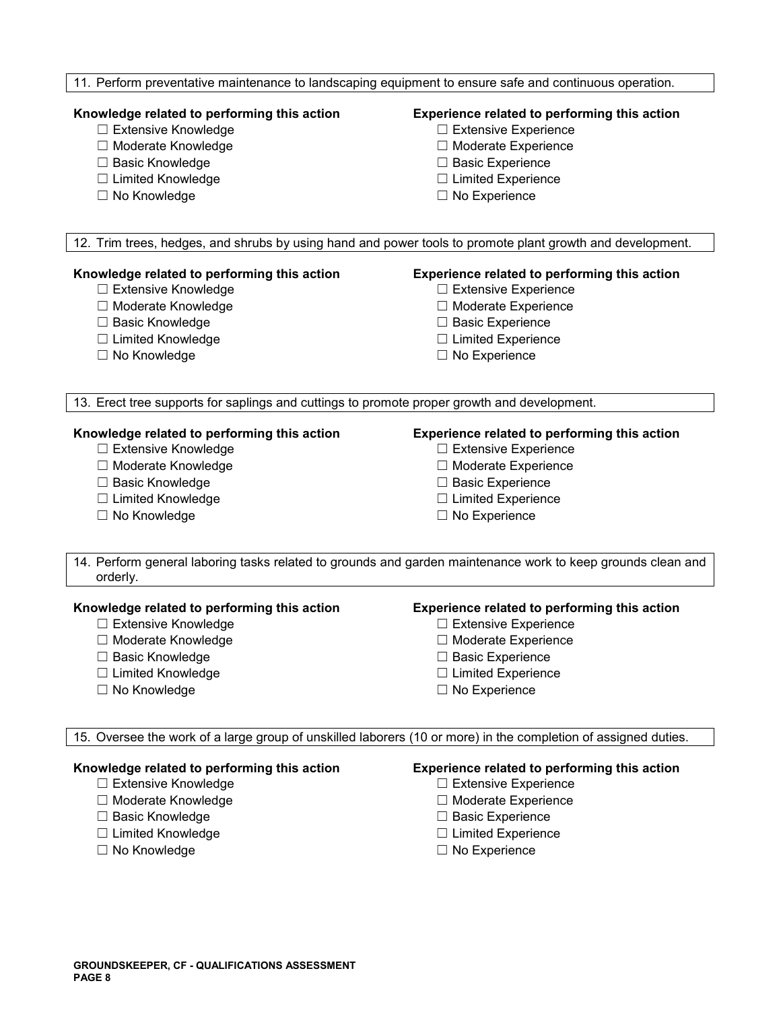# 11. Perform preventative maintenance to landscaping equipment to ensure safe and continuous operation.

- ☐ Extensive Knowledge ☐ Extensive Experience
- ☐ Moderate Knowledge ☐ Moderate Experience
- 
- ☐ Limited Knowledge ☐ Limited Experience
- 

# **Knowledge related to performing this action Experience related to performing this action**

- 
- 
- ☐ Basic Knowledge ☐ Basic Experience
	-
- ☐ No Knowledge ☐ No Experience

12. Trim trees, hedges, and shrubs by using hand and power tools to promote plant growth and development.

# **Knowledge related to performing this action Experience related to performing this action**

- 
- 
- 
- 
- 

- ☐ Extensive Knowledge ☐ Extensive Experience
- ☐ Moderate Knowledge ☐ Moderate Experience
- ☐ Basic Knowledge ☐ Basic Experience
- ☐ Limited Knowledge ☐ Limited Experience
- ☐ No Knowledge ☐ No Experience

13. Erect tree supports for saplings and cuttings to promote proper growth and development.

- 
- 
- 
- 
- ☐ No Knowledge ☐ No Experience

# **Knowledge related to performing this action Experience related to performing this action**

- ☐ Extensive Knowledge ☐ Extensive Experience
- ☐ Moderate Knowledge ☐ Moderate Experience
- ☐ Basic Knowledge ☐ Basic Experience
- ☐ Limited Knowledge ☐ Limited Experience
	-

14. Perform general laboring tasks related to grounds and garden maintenance work to keep grounds clean and orderly.

# **Knowledge related to performing this action Experience related to performing this action**

- ☐ Extensive Knowledge ☐ Extensive Experience
- ☐ Moderate Knowledge ☐ Moderate Experience
- 
- ☐ Limited Knowledge ☐ Limited Experience
- ☐ No Knowledge ☐ No Experience

- 
- 
- ☐ Basic Knowledge ☐ Basic Experience
	-
	-

15. Oversee the work of a large group of unskilled laborers (10 or more) in the completion of assigned duties.

- 
- ☐ Moderate Knowledge ☐ Moderate Experience
- ☐ Basic Knowledge ☐ Basic Experience
- 
- 

# **Knowledge related to performing this action Experience related to performing this action**

- ☐ Extensive Knowledge ☐ Extensive Experience
	-
	-
- ☐ Limited Knowledge ☐ Limited Experience
- ☐ No Knowledge ☐ No Experience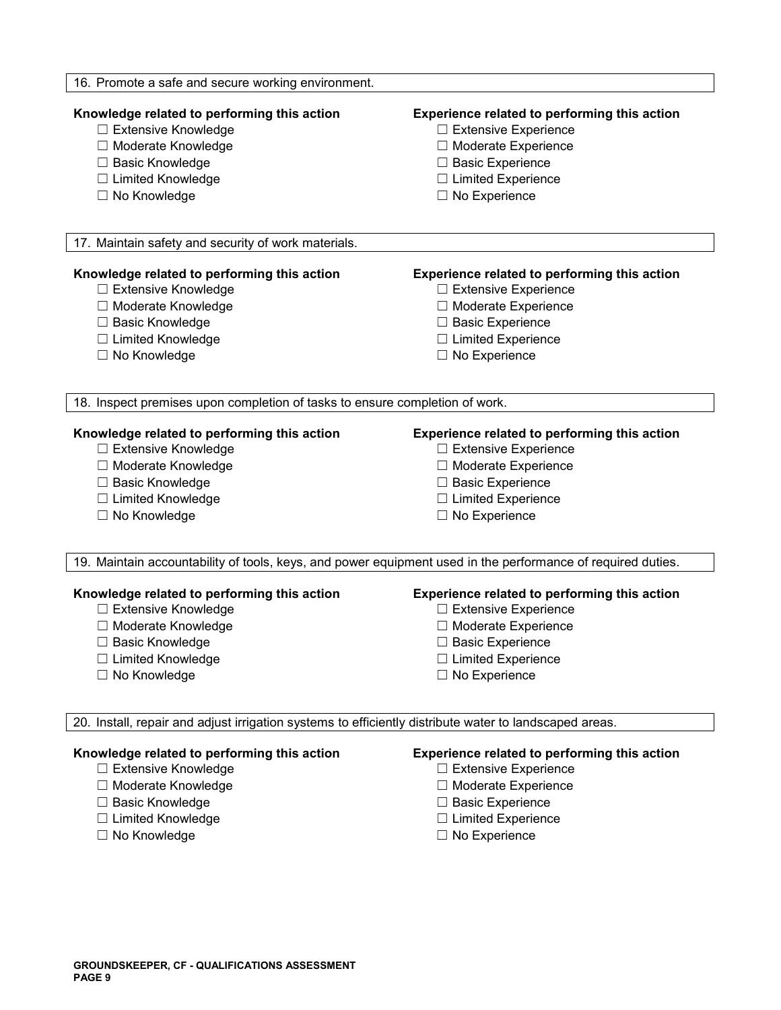| 16. Promote a safe and secure working environment.                                                                                                                   |                                                                                                                                                                                      |  |  |  |  |
|----------------------------------------------------------------------------------------------------------------------------------------------------------------------|--------------------------------------------------------------------------------------------------------------------------------------------------------------------------------------|--|--|--|--|
| Knowledge related to performing this action<br>□ Extensive Knowledge<br>□ Moderate Knowledge<br>□ Basic Knowledge<br>□ Limited Knowledge<br>□ No Knowledge           | Experience related to performing this action<br>$\Box$ Extensive Experience<br>□ Moderate Experience<br>$\Box$ Basic Experience<br>$\Box$ Limited Experience<br>$\Box$ No Experience |  |  |  |  |
| 17. Maintain safety and security of work materials.                                                                                                                  |                                                                                                                                                                                      |  |  |  |  |
|                                                                                                                                                                      |                                                                                                                                                                                      |  |  |  |  |
| Knowledge related to performing this action<br>□ Extensive Knowledge<br>□ Moderate Knowledge<br>□ Basic Knowledge<br>□ Limited Knowledge<br>□ No Knowledge           | Experience related to performing this action<br>$\Box$ Extensive Experience<br>□ Moderate Experience<br>□ Basic Experience<br>$\Box$ Limited Experience<br>$\Box$ No Experience      |  |  |  |  |
| 18. Inspect premises upon completion of tasks to ensure completion of work.                                                                                          |                                                                                                                                                                                      |  |  |  |  |
| Knowledge related to performing this action<br>□ Extensive Knowledge<br>□ Moderate Knowledge<br>□ Basic Knowledge<br>□ Limited Knowledge<br>□ No Knowledge           | Experience related to performing this action<br>$\Box$ Extensive Experience<br>□ Moderate Experience<br>$\Box$ Basic Experience<br>$\Box$ Limited Experience<br>$\Box$ No Experience |  |  |  |  |
| 19. Maintain accountability of tools, keys, and power equipment used in the performance of required duties.                                                          |                                                                                                                                                                                      |  |  |  |  |
| Knowledge related to performing this action<br>□ Extensive Knowledge<br>□ Moderate Knowledge<br><b>Basic Knowledge</b><br>□ Limited Knowledge<br>$\Box$ No Knowledge | Experience related to performing this action<br>□ Extensive Experience<br>□ Moderate Experience<br>$\Box$ Basic Experience<br>$\Box$ Limited Experience<br>$\Box$ No Experience      |  |  |  |  |
| 20. Install, repair and adjust irrigation systems to efficiently distribute water to landscaped areas.                                                               |                                                                                                                                                                                      |  |  |  |  |
| Knowledge related to performing this action<br>□ Extensive Knowledge<br>□ Moderate Knowledge<br>□ Basic Knowledge<br>□ Limited Knowledge<br>□ No Knowledge           | Experience related to performing this action<br>□ Extensive Experience<br>□ Moderate Experience<br>$\Box$ Basic Experience<br>$\Box$ Limited Experience<br>$\Box$ No Experience      |  |  |  |  |

- 
- 
- 
- □ No Experience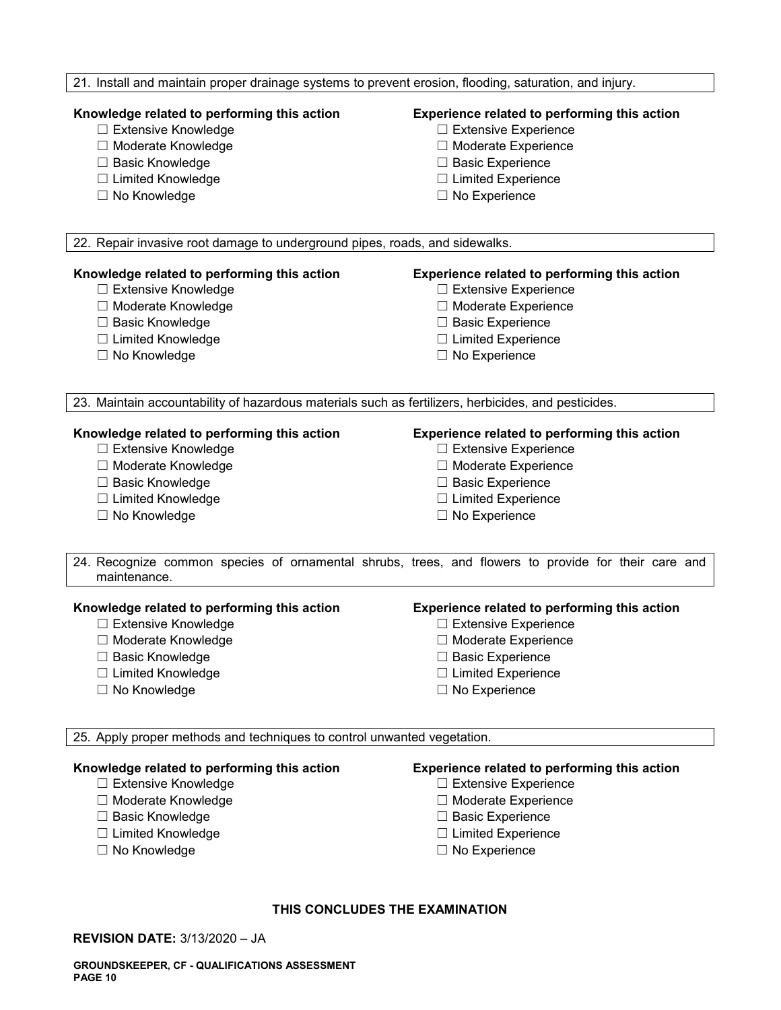# 21. Install and maintain proper drainage systems to prevent erosion, flooding, saturation, and injury.

- 
- 
- ☐ Basic Knowledge ☐ Basic Experience
- ☐ Limited Knowledge ☐ Limited Experience
- ☐ No Knowledge ☐ No Experience

# **Knowledge related to performing this action Experience related to performing this action**

- ☐ Extensive Knowledge ☐ Extensive Experience
- ☐ Moderate Knowledge ☐ Moderate Experience
	-
	-
	-

22. Repair invasive root damage to underground pipes, roads, and sidewalks.

- 
- 
- 
- ☐ Limited Knowledge ☐ Limited Experience
- 

# **Knowledge related to performing this action Experience related to performing this action**

- ☐ Extensive Knowledge ☐ Extensive Experience
- ☐ Moderate Knowledge ☐ Moderate Experience
- ☐ Basic Knowledge ☐ Basic Experience
	-
- ☐ No Knowledge ☐ No Experience

23. Maintain accountability of hazardous materials such as fertilizers, herbicides, and pesticides.

- 
- 
- 
- 
- ☐ No Knowledge ☐ No Experience

# **Knowledge related to performing this action Experience related to performing this action**

- ☐ Extensive Knowledge ☐ Extensive Experience
- ☐ Moderate Knowledge ☐ Moderate Experience
- ☐ Basic Knowledge ☐ Basic Experience
- ☐ Limited Knowledge ☐ Limited Experience
	-
- 24. Recognize common species of ornamental shrubs, trees, and flowers to provide for their care and maintenance.

# **Knowledge related to performing this action Experience related to performing this action**

- ☐ Extensive Knowledge ☐ Extensive Experience
- 
- ☐ Basic Knowledge ☐ Basic Experience
- ☐ Limited Knowledge ☐ Limited Experience
- 

- 
- ☐ Moderate Knowledge ☐ Moderate Experience
	-
	-
- ☐ No Knowledge ☐ No Experience

25. Apply proper methods and techniques to control unwanted vegetation.

# **Knowledge related to performing this action Experience related to performing this action**

- 
- ☐ Moderate Knowledge ☐ Moderate Experience
- ☐ Basic Knowledge ☐ Basic Experience
- 
- 

- ☐ Extensive Knowledge ☐ Extensive Experience
	-
	-
- ☐ Limited Knowledge ☐ Limited Experience
- ☐ No Knowledge ☐ No Experience

# **THIS CONCLUDES THE EXAMINATION**

**REVISION DATE:** 3/13/2020 – JA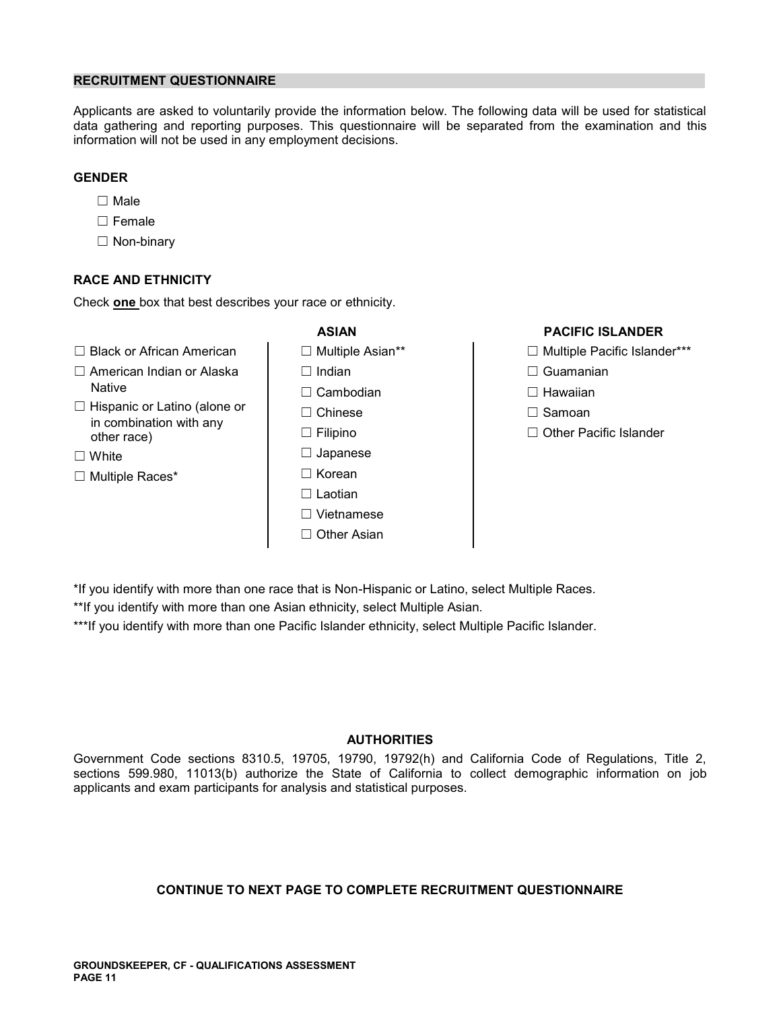# **RECRUITMENT QUESTIONNAIRE**

Applicants are asked to voluntarily provide the information below. The following data will be used for statistical data gathering and reporting purposes. This questionnaire will be separated from the examination and this information will not be used in any employment decisions.

# **GENDER**

- ☐ Male
- ☐ Female
- ☐ Non-binary

# **RACE AND ETHNICITY**

Check **one** box that best describes your race or ethnicity.

- ☐ Black or African American ☐ Multiple Asian\*\* ☐ Multiple Pacific Islander\*\*\*
- ☐ American Indian or Alaska ☐ Indian ☐ Guamanian Native ☐ Cambodian ☐ Hawaiian
- ☐ Hispanic or Latino (alone or ☐ Chinese ☐ Samoan in combination with any other race) ☐ Filipino ☐ Other Pacific Islander
- 
- ☐ Multiple Races\* ☐ Korean
- 
- 
- 
- 
- 
- ☐ White ☐ Japanese
	-
	- ☐ Laotian
	- ☐ Vietnamese
	- ☐ Other Asian

# **ASIAN PACIFIC ISLANDER**

- 
- 
- 
- 
- 

\*If you identify with more than one race that is Non-Hispanic or Latino, select Multiple Races.

\*\*If you identify with more than one Asian ethnicity, select Multiple Asian.

\*\*\*If you identify with more than one Pacific Islander ethnicity, select Multiple Pacific Islander.

# **AUTHORITIES**

Government Code sections 8310.5, 19705, 19790, 19792(h) and California Code of Regulations, Title 2, sections 599.980, 11013(b) authorize the State of California to collect demographic information on job applicants and exam participants for analysis and statistical purposes.

# **CONTINUE TO NEXT PAGE TO COMPLETE RECRUITMENT QUESTIONNAIRE**